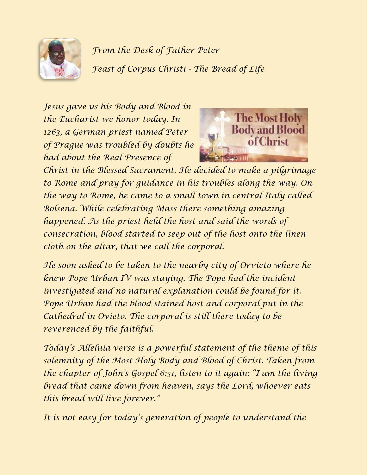

*From the Desk of Father Peter Feast of Corpus Christi - The Bread of Life*

*Jesus gave us his Body and Blood in the Eucharist we honor today. In 1263, a German priest named Peter of Prague was troubled by doubts he had about the Real Presence of* 



*Christ in the Blessed Sacrament. He decided to make a pilgrimage to Rome and pray for guidance in his troubles along the way. On the way to Rome, he came to a small town in central Italy called Bolsena. While celebrating Mass there something amazing happened. As the priest held the host and said the words of consecration, blood started to seep out of the host onto the linen cloth on the altar, that we call the corporal.*

*He soon asked to be taken to the nearby city of Orvieto where he knew Pope Urban IV was staying. The Pope had the incident investigated and no natural explanation could be found for it. Pope Urban had the blood stained host and corporal put in the Cathedral in Ovieto. The corporal is still there today to be reverenced by the faithful.*

*Today's Alleluia verse is a powerful statement of the theme of this solemnity of the Most Holy Body and Blood of Christ. Taken from the chapter of John's Gospel 6:51, listen to it again: "I am the living bread that came down from heaven, says the Lord; whoever eats this bread will live forever."*

*It is not easy for today's generation of people to understand the*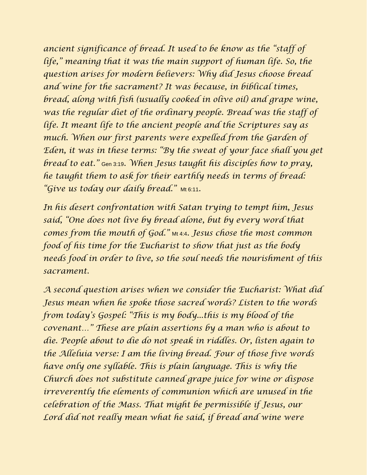*ancient significance of bread. It used to be know as the "staff of life," meaning that it was the main support of human life. So, the question arises for modern believers: Why did Jesus choose bread and wine for the sacrament? It was because, in biblical times, bread, along with fish (usually cooked in olive oil) and grape wine, was the regular diet of the ordinary people. Bread was the staff of life. It meant life to the ancient people and the Scriptures say as much. When our first parents were expelled from the Garden of Eden, it was in these terms: "By the sweat of your face shall you get bread to eat."* Gen 3:19*. When Jesus taught his disciples how to pray, he taught them to ask for their earthly needs in terms of bread:*  "*Give us today our daily bread.*" Mt 6:11.

*In his desert confrontation with Satan trying to tempt him, Jesus said, "One does not live by bread alone, but by every word that comes from the mouth of God."* Mt 4:4*. Jesus chose the most common food of his time for the Eucharist to show that just as the body needs food in order to live, so the soul needs the nourishment of this sacrament.*

*A second question arises when we consider the Eucharist: What did Jesus mean when he spoke those sacred words? Listen to the words from today's Gospel: "This is my body...this is my blood of the covenant…" These are plain assertions by a man who is about to die. People about to die do not speak in riddles. Or, listen again to the Alleluia verse: I am the living bread. Four of those five words have only one syllable. This is plain language. This is why the Church does not substitute canned grape juice for wine or dispose irreverently the elements of communion which are unused in the celebration of the Mass. That might be permissible if Jesus, our Lord did not really mean what he said, if bread and wine were*